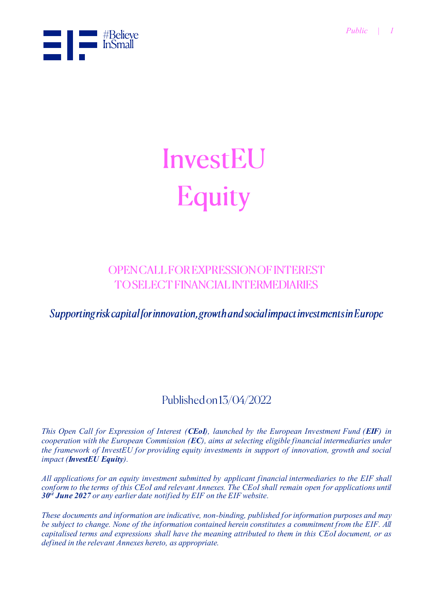

# InvestEU Equity

### **OPENCALL FOR EXPRESSION OF INTEREST TO SELECT FINANCIAL INTERMEDIARIES**

Supporting risk capital for innovation, growth and social impact investments in Europe

### Published on 13/04/2022

*This Open Call for Expression of Interest (CEoI), launched by the European Investment Fund (EIF) in cooperation with the European Commission (EC), aims at selecting eligible financial intermediaries under the framework of InvestEU for providing equity investments in support of innovation, growth and social impact (InvestEU Equity).*

*All applications for an equity investment submitted by applicant financial intermediaries to the EIF shall conform to the terms of this CEoI and relevant Annexes. The CEoI shall remain open for applications until 30 st June 2027 or any earlier date notified by EIF on the EIF website.*

*These documents and information are indicative, non-binding, published for information purposes and may be subject to change. None of the information contained herein constitutes a commitment from the EIF. All capitalised terms and expressions shall have the meaning attributed to them in this CEoI document, or as defined in the relevant Annexes hereto, as appropriate.*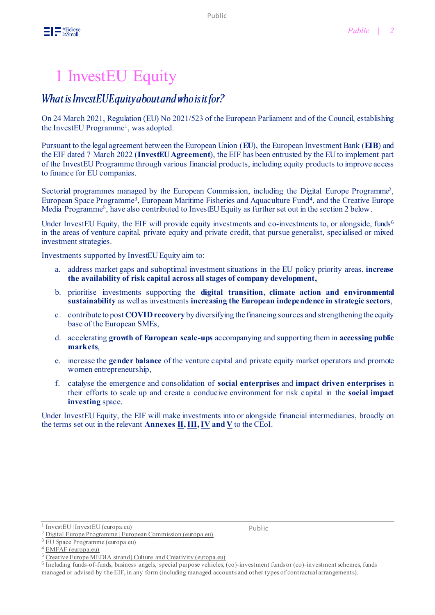# 1 InvestEU Equity

### What is InvestEUEquity about and who is it for?

On 24 March 2021, Regulation (EU) No 2021/523 of the European Parliament and of the Council, establishing the InvestEU Programme<sup>1</sup>, was adopted.

Pursuant to the legal agreement between the European Union (**EU**), the European Investment Bank (**EIB**) and the EIF dated 7 March 2022 (**InvestEU Agreement**), the EIF has been entrusted by the EU to implement part of the [InvestEU Programme](https://europa.eu/investeu/home_en) through various financial products, including equity products to improve access to finance for EU companies.

Sectorial programmes managed by the European Commission, including the Digital Europe Programme<sup>2</sup>, European Space Programme<sup>3</sup>, European Maritime Fisheries and Aquaculture Fund<sup>4</sup>, and the Creative Europe Media Programme<sup>5</sup>, have also contributed to InvestEU Equity as further set out in the section 2 below.

Under InvestEU Equity, the EIF will provide equity investments and co-investments to, or alongside, funds<sup>6</sup> in the areas of venture capital, private equity and private credit, that pursue generalist, specialised or mixed investment strategies.

Investments supported by InvestEU Equity aim to:

- a. address market gaps and suboptimal investment situations in the EU policy priority areas, **increase the availability of risk capital across all stages of company development,**
- b. prioritise investments supporting the **digital transition**, **climate action and environmental sustainability** as well as investments **increasing the European independence in strategic sectors**,
- c. contribute to post **COVID recovery** by diversifying the financing sources and strengthening the equity base of the European SMEs,
- d. accelerating **growth of European scale-ups** accompanying and supporting them in **accessing public markets**,
- e. increase the **gender balance** of the venture capital and private equity market operators and promote women entrepreneurship,
- f. catalyse the emergence and consolidation of **social enterprises** and **impact driven enterprises** in their efforts to scale up and create a conducive environment for risk capital in the **social impact investing** space.

Under InvestEU Equity, the EIF will make investments into or alongside financial intermediaries, broadly on the terms set out in the relevant **Annexes [II](https://www.eif.org/InvestEU/equity_products_calls/annex-ii-growth-innovation-socialimpact-termsheet.pdf)[, III](https://www.eif.org/InvestEU/equity_products_calls/annex-iii-escalar-addendum-termsheet.pdf)[, IV](https://www.eif.org/InvestEU/equity_products_calls/annex-iv-ipo-addendum-termsheet.pdf) an[d V](https://www.eif.org/InvestEU/equity_products_calls/annex-v-senior-private-credit-termsheet.pdf)** to the CEoI.

[EU Space Programme \(europa.eu\)](https://ec.europa.eu/defence-industry-space/eu-space-policy/eu-space-programme_en)

Public

<sup>1</sup> [InvestEU | InvestEU \(europa.eu\)](https://europa.eu/investeu/home_en)

[Digital Europe Programme | European Commission \(europa.eu\)](https://ec.europa.eu/info/funding-tenders/find-funding/eu-funding-programmes/digital-europe-programme_en)

[EMFAF \(europa.eu\)](https://ec.europa.eu/oceans-and-fisheries/funding/emfaf_en)

<sup>5</sup> [Creative Europe MEDIA strand | Culture and Creativity \(europa.eu\)](https://culture.ec.europa.eu/creative-europe/creative-europe-media-strand)

<sup>&</sup>lt;sup>6</sup> Including funds-of-funds, business angels, special purpose vehicles, (co)-investment funds or (co)-investment schemes, funds managed or advised by the EIF, in any form (including managed accounts and other types of contractual arrangements).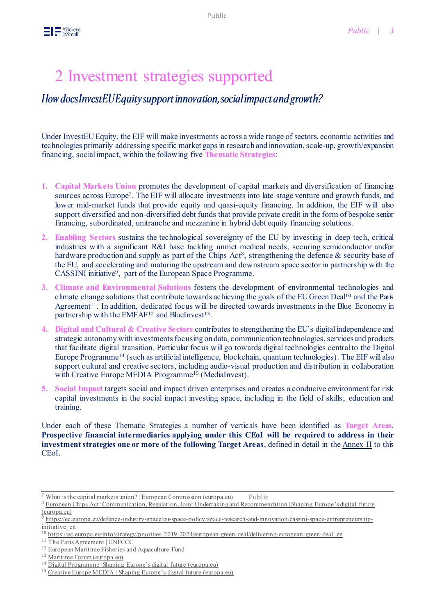# 2 Investment strategies supported

How does Invest EU Equity support innovation, social impact and growth?

Under InvestEU Equity, the EIF will make investments across a wide range of sectors, economic activities and technologies primarily addressing specific market gaps in research and innovation, scale-up, growth/expansion financing, social impact, within the following five **Thematic Strategies**:

- **1. Capital Markets Union** promotes the development of capital markets and diversification of financing sources across Europe<sup>7</sup>. The EIF will allocate investments into late stage venture and growth funds, and lower mid-market funds that provide equity and quasi-equity financing. In addition, the EIF will also support diversified and non-diversified debt funds that provide private credit in the form of bespoke senior financing, subordinated, unitranche and mezzanine in hybrid debt equity financing solutions.
- **2. Enabling Sectors** sustains the technological sovereignty of the EU by investing in deep tech, critical industries with a significant R&I base tackling unmet medical needs, securing semiconductor and/or hardware production and supply as part of the Chips Act<sup>8</sup>, strengthening the defence & security base of the EU, and accelerating and maturing the upstream and downstream space sector in partnership with the CASSINI initiative<sup>9</sup>, part of the European Space Programme.
- **3. Climate and Environmental Solutions** fosters the development of environmental technologies and climate change solutions that contribute towards achieving the goals of the EU Green Deal<sup>10</sup> and the Paris Agreement<sup>11</sup>. In addition, dedicated focus will be directed towards investments in the Blue Economy in partnership with the EMFAF<sup>12</sup> and BlueInvest<sup>13</sup>.
- **4. Digital and Cultural & Creative Sectors** contributes to strengthening the EU's digital independence and strategic autonomy with investments focusing on data, communication technologies, services and products that facilitate digital transition. Particular focus will go towards digital technologies central to the Digital Europe Programme<sup>14</sup> (such as artificial intelligence, blockchain, quantum technologies). The EIF will also support cultural and creative sectors, including audio-visual production and distribution in collaboration with Creative Europe MEDIA Programme<sup>15</sup> (MediaInvest).
- **5. Social Impact** targets social and impact driven enterprises and creates a conducive environment for risk capital investments in the social impact investing space, including in the field of skills, education and training.

Under each of these Thematic Strategies a number of verticals have been identified as **Target Areas**. **Prospective financial intermediaries applying under this CEoI will be required to address in their investment strategies one or more of the following Target Areas**, defined in detail in th[e Annex II](https://www.eif.org/InvestEU/equity_products_calls/annex-ii-growth-innovation-socialimpact-termsheet.pdf) to this CEoI.

What [is the capital markets union? | European Commission \(europa.eu\)](https://ec.europa.eu/info/business-economy-euro/growth-and-investment/capital-markets-union/what-capital-markets-union_en) Public

<sup>8</sup> [European Chips Act: Communication, Regulation, Joint Undertaking and Recommendation | Shaping Europe's digital future](https://digital-strategy.ec.europa.eu/en/library/european-chips-act-communication-regulation-joint-undertaking-and-recommendation)  [\(europa.eu\)](https://digital-strategy.ec.europa.eu/en/library/european-chips-act-communication-regulation-joint-undertaking-and-recommendation)

<sup>&</sup>lt;sup>9</sup> [https://ec.europa.eu/defence-industry-space/eu-space-policy/space-research-and-innovation/cassini-space-entrepreneurship](https://ec.europa.eu/defence-industry-space/eu-space-policy/space-research-and-innovation/cassini-space-entrepreneurship-initiative_en)initiative en

<sup>&</sup>lt;sup>10</sup> [https://ec.europa.eu/info/strategy/priorities-2019-2024/european-green-deal/delivering-european-green-deal\\_en](https://ec.europa.eu/info/strategy/priorities-2019-2024/european-green-deal/delivering-european-green-deal_en)

<sup>11</sup> [The Paris Agreement | UNFCCC](https://unfccc.int/process-and-meetings/the-paris-agreement/the-paris-agreement)

<sup>&</sup>lt;sup>12</sup> European Maritime Fisheries and Aquaculture Fund

<sup>&</sup>lt;sup>13</sup> [Maritime Forum \(europa.eu\)](https://webgate.ec.europa.eu/maritimeforum/en/frontpage/1451)

<sup>14</sup> [Digital Programme | Shaping Europe's digital future \(europa.eu\)](https://digital-strategy.ec.europa.eu/en/activities/digital-programme)

<sup>&</sup>lt;sup>15</sup> [Creative Europe MEDIA | Shaping Europe's digital future \(europa.eu\)](https://digital-strategy.ec.europa.eu/en/policies/creative-europe-media)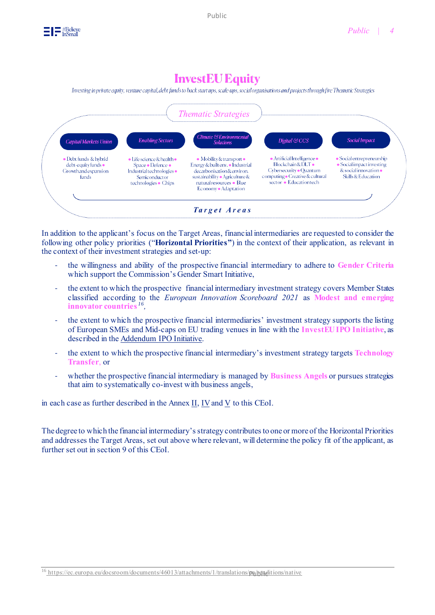

## **InvestEU Equity**

Investing in private equity, venture capital, debt funds to back start ups, scale-ups, social organisations and projects through five Thematic Strategies



In addition to the applicant's focus on the Target Areas, financial intermediaries are requested to consider the following other policy priorities ("**Horizontal Priorities"**) in the context of their application, as relevant in the context of their investment strategies and set-up:

- the willingness and ability of the prospective financial intermediary to adhere to **Gender Criteria** which support the Commission's Gender Smart Initiative,
- the extent to which the prospective financial intermediary investment strategy covers Member States classified according to the *European Innovation Scoreboard 2021* as **Modest and emerging innovator countries** *<sup>16</sup> ,*
- the extent to which the prospective financial intermediaries' investment strategy supports the listing of European SMEs and Mid-caps on EU trading venues in line with the **InvestEU IPO Initiative**, as described in the Addendum [IPO Initiative.](https://www.eif.org/InvestEU/equity_products_calls/annex-iv-ipo-addendum-termsheet.pdf)
- the extent to which the prospective financial intermediary's investment strategy targets **Technology Transfer**, or
- whether the prospective financial intermediary is managed by **Business Angels** or pursues strategies that aim to systematically co-invest with business angels,

in each case as further described in the Annex  $II$ ,  $IV$  and  $V$  to this CEoI.

The degree to which the financial intermediary's strategy contributes to one or more of the Horizontal Priorities and addresses the Target Areas, set out above where relevant, will determine the policy fit of the applicant, as further set out in section 9 of this CEoI.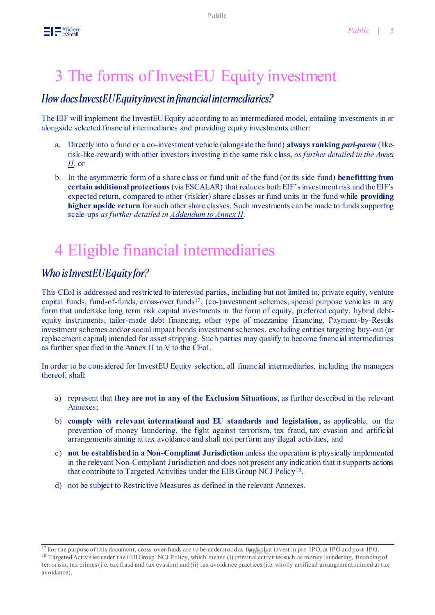# 3 The forms of InvestEU Equity investment

### How does Invest EU Equity invest in financial intermediaries?

The EIF will implement the InvestEU Equity according to an intermediated model, entailing investments in or alongside selected financial intermediaries and providing equity investments either:

- a. Directly into a fund or a co-investment vehicle (alongside the fund) **always ranking** *pari-passu* (likerisk-like-reward) with other investors investing in the same risk class, *as further detailed in th[e Annex](https://www.eif.org/InvestEU/equity_products_calls/annex-ii-growth-innovation-socialimpact-termsheet.pdf)  [II](https://www.eif.org/InvestEU/equity_products_calls/annex-ii-growth-innovation-socialimpact-termsheet.pdf)*, or
- b. In the asymmetric form of a share class or fund unit of the fund (or its side fund) **benefitting from certain additional protections** (via ESCALAR) that reduces bothEIF's investment risk and the EIF's expected return, compared to other (riskier) share classes or fund units in the fund while **providing higher upside return** for such other share classes. Such investments can be made to funds supporting scale-ups *asfurther detailed i[n Addendum](https://www.eif.org/InvestEU/equity_products_calls/annex-iii-escalar-addendum-termsheet.pdf) to Annex II.*

# 4 Eligible financial intermediaries

### Who is InvestEUEquity for?

This CEoI is addressed and restricted to interested parties, including but not limited to, private equity, venture capital funds, fund-of-funds, cross-over funds<sup>17</sup>, (co-)investment schemes, special purpose vehicles in any form that undertake long term risk capital investments in the form of equity, preferred equity, hybrid debtequity instruments, tailor-made debt financing, other type of mezzanine financing, Payment-by-Results investment schemes and/or social impact bonds investment schemes, excluding entities targeting buy-out (or replacement capital) intended for asset stripping. Such parties may qualify to become financial intermediaries as further specified in the Annex II to V to the CEoI.

In order to be considered for InvestEU Equity selection, all financial intermediaries, including the managers thereof, shall:

- a) represent that **they are not in any of the Exclusion Situations**, as further described in the relevant Annexes;
- b) **comply with relevant international and EU standards and legislation**, as applicable, on the prevention of money laundering, the fight against terrorism, tax fraud, tax evasion and artificial arrangements aiming at tax avoidance and shall not perform any illegal activities, and
- c) **not be established in a Non-Compliant Jurisdiction** unless the operation is physically implemented in the relevant Non-Compliant Jurisdiction and does not present any indication that it supports actions that contribute to Targeted Activities under the EIB Group NCJ Policy<sup>18</sup>.
- d) not be subject to Restrictive Measures as defined in the relevant Annexes.

<sup>&</sup>lt;sup>17</sup> For the purpose of this document, cross-over funds are to be understood as funds that invest in pre-IPO, at IPO and post-IPO. <sup>18</sup> Targeted Activities under the EIB Group NCJ Policy, which means (i) criminal activities such as money laundering, financing of terrorism, tax crimes (i.e. tax fraud and tax evasion) and (ii) tax avoidance practices (i.e. wholly artificial arrangements aimed at tax avoidance).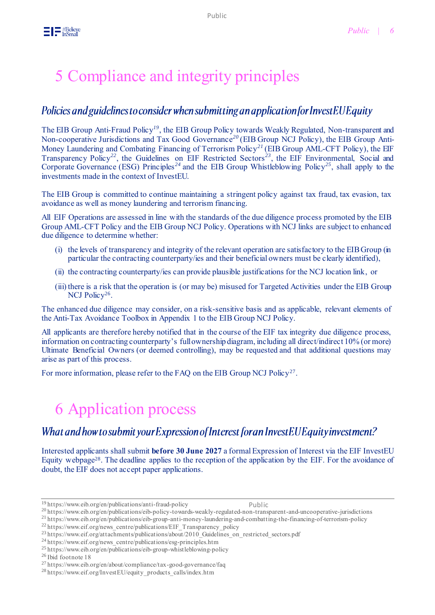# 5 Compliance and integrity principles

### Policies and guidelines to consider when submitting an application for InvestEU Equity

The EIB Group Anti-Fraud Policy*<sup>19</sup>*, the EIB Group Policy towards Weakly Regulated, Non-transparent and Non-cooperative Jurisdictions and Tax Good Governance*<sup>20</sup>* (EIB Group NCJ Policy), the EIB Group Anti-Money Laundering and Combating Financing of Terrorism Policy*<sup>21</sup>* (EIB Group AML-CFT Policy), the EIF Transparency Policy*<sup>22</sup>*, the Guidelines on EIF Restricted Sectors*<sup>23</sup>* , the EIF Environmental, Social and Corporate Governance (ESG) Principles*<sup>24</sup>* and the EIB Group Whistleblowing Policy*<sup>25</sup>*, shall apply to the investments made in the context of InvestEU.

The EIB Group is committed to continue maintaining a stringent policy against tax fraud, tax evasion, tax avoidance as well as money laundering and terrorism financing.

All EIF Operations are assessed in line with the standards of the due diligence process promoted by the EIB Group AML-CFT Policy and the EIB Group NCJ Policy. Operations with NCJ links are subject to enhanced due diligence to determine whether:

- (i) the levels of transparency and integrity of the relevant operation are satisfactory to the EIB Group (in particular the contracting counterparty/ies and their beneficial owners must be clearly identified),
- (ii) the contracting counterparty/ies can provide plausible justifications for the NCJ location link, or
- (iii) there is a risk that the operation is (or may be) misused for Targeted Activities under the EIB Group NCJ Policy<sup>26</sup>.

The enhanced due diligence may consider, on a risk-sensitive basis and as applicable, relevant elements of the Anti-Tax Avoidance Toolbox in Appendix 1 to the EIB Group NCJ Policy.

All applicants are therefore hereby notified that in the course of the EIF tax integrity due diligence process, information on contracting counterparty's full ownership diagram, including all direct/indirect 10% (or more) Ultimate Beneficial Owners (or deemed controlling), may be requested and that additional questions may arise as part of this process.

For more information, please refer to the FAQ on the EIB Group NCJ Policy<sup>27</sup>.

# 6 Application process

### What and how to submit your Expression of Interest for an InvestEU Equity investment?

Interested applicants shall submit **before 30 June 2027** a formal Expression of Interest via the EIF InvestEU Equity webpage<sup>28</sup>. The deadline applies to the reception of the application by the EIF. For the avoidance of doubt, the EIF does not accept paper applications.

<sup>21</sup> <https://www.eib.org/en/publications/eib-group-anti-money-laundering-and-combatting-the-financing-of-terrorism-policy>

<sup>26</sup> Ibid footnote 18

<sup>19</sup> <https://www.eib.org/en/publications/anti-fraud-policy>

Public

<sup>20</sup> <https://www.eib.org/en/publications/eib-policy-towards-weakly-regulated-non-transparent-and-uncooperative-jurisdictions>

 $^{22}$  https://www.eif.org/news\_centre/publications/EIF\_Transparency\_policy

<sup>&</sup>lt;sup>23</sup> [https://www.eif.org/attachments/publications/about/2010\\_Guidelines\\_on\\_restricted\\_sectors.pdf](https://www.eif.org/attachments/publications/about/2010_Guidelines_on_restricted_sectors.pdf)

<sup>24</sup> https://www.eif.org/news\_centre/publications/esg-principles.htm

<sup>25</sup> <https://www.eib.org/en/publications/eib-group-whistleblowing-policy>

 $^{27}\,$ <https://www.eib.org/en/about/compliance/tax-good-governance/faq>

<sup>&</sup>lt;sup>28</sup> [https://www.eif.org/InvestEU/equity\\_products\\_calls/index.htm](https://www.eif.org/InvestEU/equity_products_calls/index.htm)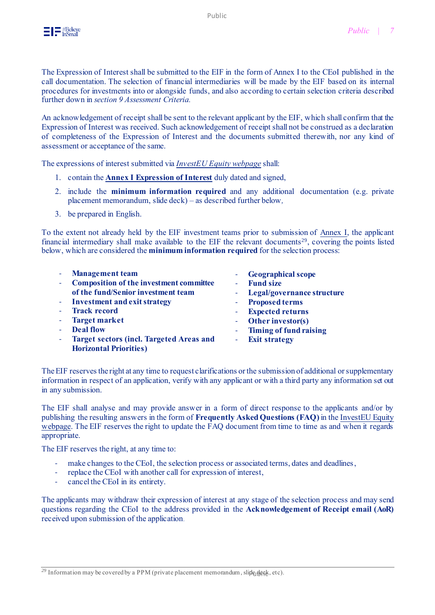The Expression of Interest shall be submitted to the EIF in the form of Annex I to the CEoI published in the call documentation. The selection of financial intermediaries will be made by the EIF based on its internal procedures for investments into or alongside funds, and also according to certain selection criteria described further down in *section 9 Assessment Criteria.*

An acknowledgement of receipt shall be sent to the relevant applicant by the EIF, which shall confirm that the Expression of Interest was received. Such acknowledgement of receipt shall not be construed as a declaration of completeness of the Expression of Interest and the documents submitted therewith, nor any kind of assessment or acceptance of the same.

The expressions of interest submitted via *[InvestEU Equity webpage](https://www.eif.org/InvestEU/equity_products_calls/index.htm)* shall:

- 1. contain the **[Annex I Expression of Interest](https://www.eif.org/InvestEU/equity_products_calls/annex-i-fi-application-eoi.doc)** duly dated and signed,
- 2. include the **minimum information required** and any additional documentation (e.g. private placement memorandum, slide deck) – as described further below*,*
- 3. be prepared in English.

To the extent not already held by the EIF investment teams prior to submission of [Annex I,](https://www.eif.org/InvestEU/equity_products_calls/annex-i-fi-application-eoi.doc) the applicant financial intermediary shall make available to the EIF the relevant documents<sup>29</sup>, covering the points listed below, which are considered the **minimum information required** for the selection process:

|  | <b>Management</b> team<br><b>Composition of the investment committee</b> | ٠                        | <b>Geographical scope</b><br><b>Fund size</b> |
|--|--------------------------------------------------------------------------|--------------------------|-----------------------------------------------|
|  | of the fund/Senior investment team                                       |                          | - Legal/governance structure                  |
|  | - Investment and exit strategy                                           | $\sim$                   | <b>Proposed terms</b>                         |
|  | <b>Track record</b>                                                      |                          | <b>Expected returns</b>                       |
|  | <b>Target market</b>                                                     |                          | Other investor(s)                             |
|  | <b>Deal flow</b>                                                         |                          | <b>Timing of fund raising</b>                 |
|  | <b>Target sectors (incl. Targeted Areas and</b>                          | $\overline{\phantom{a}}$ | <b>Exit strategy</b>                          |
|  | <b>Horizontal Priorities)</b>                                            |                          |                                               |

The EIF reserves the right at any time to request clarifications or the submission of additional or supplementary information in respect of an application, verify with any applicant or with a third party any information set out in any submission.

The EIF shall analyse and may provide answer in a form of direct response to the applicants and/or by publishing the resulting answers in the form of **Frequently Asked Questions (FAQ)** in th[e InvestEU Equity](https://www.eif.org/InvestEU/equity_products_calls/index.htm)  [webpage.](https://www.eif.org/InvestEU/equity_products_calls/index.htm) The EIF reserves the right to update the FAQ document from time to time as and when it regards appropriate.

The EIF reserves the right, at any time to:

- make changes to the CEoI, the selection process or associated terms, dates and deadlines,
- replace the CEoI with another call for expression of interest,
- cancel the CEoI in its entirety.

The applicants may withdraw their expression of interest at any stage of the selection process and may send questions regarding the CEoI to the address provided in the **Acknowledgement of Receipt email (AoR)** received upon submission of the application.

<sup>&</sup>lt;sup>29</sup> Information may be covered by a PPM (private placement memorandum, slide  $d$ eck, etc).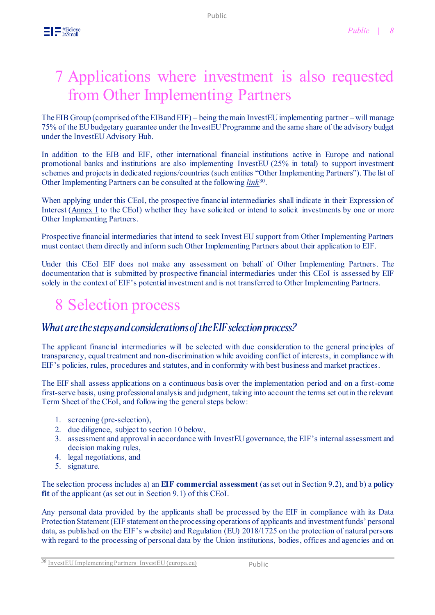The EIB Group (comprised of the EIB and EIF) – being the main InvestEU implementing partner –will manage 75% of the EU budgetary guarantee under the InvestEU Programme and the same share of the advisory budget under the InvestEU Advisory Hub.

In addition to the EIB and EIF, other international financial institutions active in Europe and national promotional banks and institutions are also implementing InvestEU (25% in total) to support investment schemes and projects in dedicated regions/countries (such entities "Other Implementing Partners"). The list of Other Implementing Partners can be consulted at the following *[link](https://europa.eu/investeu/investeu-fund/investeu-implementing-partners_en)*<sup>30</sup>.

When applying under this CEoI, the prospective financial intermediaries shall indicate in their Expression of Interest [\(Annex I](https://www.eif.org/InvestEU/equity_products_calls/annex-i-fi-application-eoi.doc) to the CEoI) whether they have solicited or intend to solicit investments by one or more Other Implementing Partners.

Prospective financial intermediaries that intend to seek Invest EU support from Other Implementing Partners must contact them directly and inform such Other Implementing Partners about their application to EIF.

Under this CEoI EIF does not make any assessment on behalf of Other Implementing Partners. The documentation that is submitted by prospective financial intermediaries under this CEoI is assessed by EIF solely in the context of EIF's potential investment and is not transferred to Other Implementing Partners.

# 8 Selection process

### What are the steps and considerations of the EIF selection process?

The applicant financial intermediaries will be selected with due consideration to the general principles of transparency, equal treatment and non-discrimination while avoiding conflict of interests, in compliance with EIF's policies, rules, procedures and statutes, and in conformity with best business and market practices.

The EIF shall assess applications on a continuous basis over the implementation period and on a first-come first-serve basis, using professional analysis and judgment, taking into account the terms set out in the relevant Term Sheet of the CEoI, and following the general steps below:

- 1. screening (pre-selection),
- 2. due diligence, subject to section 10 below,
- 3. assessment and approval in accordance with InvestEU governance, the EIF's internal assessment and decision making rules,
- 4. legal negotiations, and
- 5. signature.

The selection process includes a) an **EIF commercial assessment** (as set out in Section 9.2), and b) a **policy fit** of the applicant (as set out in Section 9.1) of this CEoI.

Any personal data provided by the applicants shall be processed by the EIF in compliance with its Data Protection Statement (EIF statement on the processing operations of applicants and investment funds' personal data, as published on the EIF's website) and Regulation (EU) 2018/1725 on the protection of natural persons with regard to the processing of personal data by the Union institutions, bodies, offices and agencies and on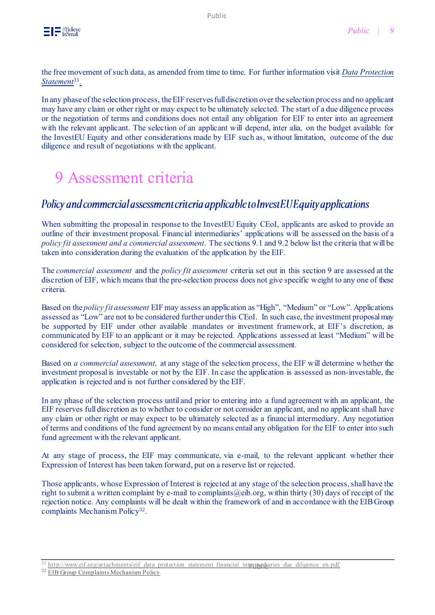the free movement of such data, as amended from time to time. For further information visit *[Data Protection](http://www.eif.org/attachments/eif_data_protection_statement_financial_intermediaries_due_diligence_en.pdf)  [Statement](http://www.eif.org/attachments/eif_data_protection_statement_financial_intermediaries_due_diligence_en.pdf)*<sup>31</sup> *.*

In any phase of the selection process, the EIF reserves full discretion over the selection process and no applicant may have any claim or other right or may expect to be ultimately selected. The start of a due diligence process or the negotiation of terms and conditions does not entail any obligation for EIF to enter into an agreement with the relevant applicant. The selection of an applicant will depend, inter alia, on the budget available for the InvestEU Equity and other considerations made by EIF such as, without limitation, outcome of the due diligence and result of negotiations with the applicant.

# 9 Assessment criteria

### Policy and commercial assessment criteria applicable to InvestEU Equity applications

When submitting the proposal in response to the InvestEU Equity CEoI, applicants are asked to provide an outline of their investment proposal. Financial intermediaries' applications will be assessed on the basis of a *policy fit assessment and a commercial assessment*. The sections 9.1 and 9.2 below list the criteria that will be taken into consideration during the evaluation of the application by the EIF.

The *commercial assessment* and the *policy fit assessment* criteria set out in this section 9 are assessed at the discretion of EIF, which means that the pre-selection process does not give specific weight to any one of these criteria.

Based on the *policy fit assessment* EIF may assess an application as "High", "Medium" or "Low". Applications assessed as "Low" are not to be considered further under this CEoI. In such case, the investment proposal may be supported by EIF under other available mandates or investment framework, at EIF's discretion, as communicated by EIF to an applicant or it may be rejected. Applications assessed at least "Medium" will be considered for selection, subject to the outcome of the commercial assessment.

Based on *a commercial assessment,* at any stage of the selection process, the EIF will determine whether the investment proposal is investable or not by the EIF. In case the application is assessed as non-investable, the application is rejected and is not further considered by the EIF.

In any phase of the selection process until and prior to entering into a fund agreement with an applicant, the EIF reserves full discretion as to whether to consider or not consider an applicant, and no applicant shall have any claim or other right or may expect to be ultimately selected as a financial intermediary. Any negotiation of terms and conditions of the fund agreement by no means entail any obligation for the EIF to enter into such fund agreement with the relevant applicant.

At any stage of process, the EIF may communicate, via e-mail, to the relevant applicant whether their Expression of Interest has been taken forward, put on a reserve list or rejected.

Those applicants, whose Expression of Interest is rejected at any stage of the selection process, shall have the right to submit a written complaint by e-mail to complaints  $(\partial e^{i\phi})$ . within thirty (30) days of receipt of the rejection notice. Any complaints will be dealt within the framework of and in accordance with the EIB Group complaints Mechanism Policy<sup>32</sup>.

<sup>&</sup>lt;sup>31</sup> http://www.eif.org/attachments/eif\_data\_protection\_statement\_financial\_intprpediaries\_due\_diligence\_en.pdf

*<sup>32</sup>* [EIB Group Complaints Mechanism Policy](https://www.eib.org/en/publications/complaints-mechanism-policy)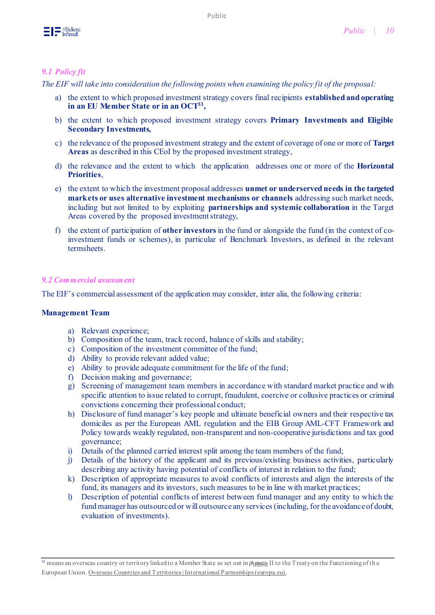

#### *9.1 Policy fit*

*The EIF will take into consideration the following points when examining the policy fit of the proposal:*

- a) the extent to which proposed investment strategy covers final recipients **established and operating in an EU Member State or in an OCT<sup>33</sup> ,**
- b) the extent to which proposed investment strategy covers **Primary Investments and Eligible Secondary Investments,**
- c) the relevance of the proposed investment strategy and the extent of coverage of one or more of **Target Areas** as described in this CEoI by the proposed investment strategy,
- d) the relevance and the extent to which the application addresses one or more of the **Horizontal Priorities**,
- e) the extent to which the investment proposal addresses **unmet or underserved needs in the targeted markets or uses alternative investment mechanisms or channels** addressing such market needs, including but not limited to by exploiting **partnerships and systemic collaboration** in the Target Areas covered by the proposed investment strategy,
- f) the extent of participation of **other investors** in the fund or alongside the fund (in the context of coinvestment funds or schemes), in particular of Benchmark Investors, as defined in the relevant termsheets.

#### *9.2 Commercial assessment*

The EIF's commercial assessment of the application may consider, inter alia, the following criteria:

#### **Management Team**

- a) Relevant experience;
- b) Composition of the team, track record, balance of skills and stability;
- c) Composition of the investment committee of the fund;
- d) Ability to provide relevant added value;
- e) Ability to provide adequate commitment for the life of the fund;
- f) Decision making and governance;
- g) Screening of management team members in accordance with standard market practice and with specific attention to issue related to corrupt, fraudulent, coercive or collusive practices or criminal convictions concerning their professional conduct;
- h) Disclosure of fund manager's key people and ultimate beneficial owners and their respective tax domiciles as per the European AML regulation and the EIB Group AML-CFT Framework and Policy towards weakly regulated, non-transparent and non-cooperative jurisdictions and tax good governance;
- i) Details of the planned carried interest split among the team members of the fund;
- j) Details of the history of the applicant and its previous/existing business activities, particularly describing any activity having potential of conflicts of interest in relation to the fund;
- k) Description of appropriate measures to avoid conflicts of interests and align the interests of the fund, its managers and its investors, such measures to be in line with market practices;
- l) Description of potential conflicts of interest between fund manager and any entity to which the fund manager has outsourced or will outsource any services (including, for the avoidance of doubt, evaluation of investments).

 $^{\rm 33}$  means an overseas country or territory linked to a Member State as set out in pAnnex II to the Treaty on the Functioning of the European Union. [Overseas Countries and Territories | International Partnerships \(europa.eu\)](https://ec.europa.eu/international-partnerships/where-we-work/overseas-countries-and-territories_en)*.*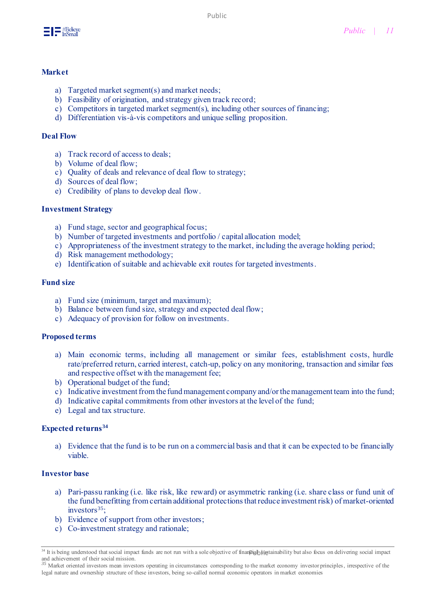

#### **Market**

- a) Targeted market segment(s) and market needs;
- b) Feasibility of origination, and strategy given track record;
- c) Competitors in targeted market segment(s), including other sources of financing;
- d) Differentiation vis-à-vis competitors and unique selling proposition.

#### **Deal Flow**

- a) Track record of access to deals;
- b) Volume of deal flow;
- c) Quality of deals and relevance of deal flow to strategy;
- d) Sources of deal flow;
- e) Credibility of plans to develop deal flow.

#### **Investment Strategy**

- a) Fund stage, sector and geographical focus;
- b) Number of targeted investments and portfolio / capital allocation model;
- c) Appropriateness of the investment strategy to the market, including the average holding period;
- d) Risk management methodology;
- e) Identification of suitable and achievable exit routes for targeted investments.

#### **Fund size**

- a) Fund size (minimum, target and maximum);
- b) Balance between fund size, strategy and expected deal flow;
- c) Adequacy of provision for follow on investments.

#### **Proposed terms**

- a) Main economic terms, including all management or similar fees, establishment costs, hurdle rate/preferred return, carried interest, catch-up, policy on any monitoring, transaction and similar fees and respective offset with the management fee;
- b) Operational budget of the fund;
- c) Indicative investment from the fund management company and/or the management team into the fund;
- d) Indicative capital commitments from other investors at the level of the fund;
- e) Legal and tax structure.

#### **Expected returns<sup>34</sup>**

a) Evidence that the fund is to be run on a commercial basis and that it can be expected to be financially viable.

#### **Investor base**

- a) Pari-passu ranking (i.e. like risk, like reward) or asymmetric ranking (i.e. share class or fund unit of the fund benefitting from certain additional protections that reduce investment risk) of market-oriented  $investors<sup>35</sup>$ :
- b) Evidence of support from other investors;
- c) Co-investment strategy and rationale;

<sup>&</sup>lt;sup>34</sup> It is being understood that social impact funds are not run with a sole objective of finan pall superalized by the also focus on delivering social impact

and achievement of their social mission. *<sup>35</sup>* Market oriented investors mean investors operating in circumstances corresponding to the market economy investor principles, irrespective of the legal nature and ownership structure of these investors, being so-called normal economic operators in market economies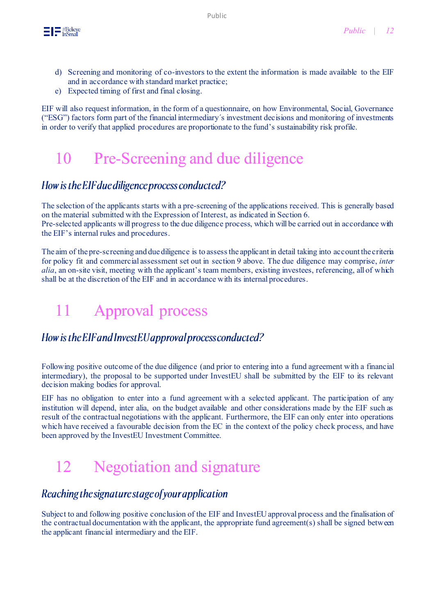

- d) Screening and monitoring of co-investors to the extent the information is made available to the EIF and in accordance with standard market practice;
- e) Expected timing of first and final closing.

EIF will also request information, in the form of a questionnaire, on how Environmental, Social, Governance ("ESG") factors form part of the financial intermediary´s investment decisions and monitoring of investments in order to verify that applied procedures are proportionate to the fund's sustainability risk profile.

# 10 Pre-Screening and due diligence

### How is the EIF due diligence process conducted?

The selection of the applicants starts with a pre-screening of the applications received. This is generally based on the material submitted with the Expression of Interest, as indicated in Section 6. Pre-selected applicants will progress to the due diligence process, which will be carried out in accordance with the EIF's internal rules and procedures.

The aim of the pre-screening and due diligence is to assess the applicant in detail taking into account the criteria for policy fit and commercial assessment set out in section 9 above. The due diligence may comprise, *inter alia*, an on-site visit, meeting with the applicant's team members, existing investees, referencing, all of which shall be at the discretion of the EIF and in accordance with its internal procedures.

# 11 Approval process

### How is the EIF and InvestEU approval process conducted?

Following positive outcome of the due diligence (and prior to entering into a fund agreement with a financial intermediary), the proposal to be supported under InvestEU shall be submitted by the EIF to its relevant decision making bodies for approval.

EIF has no obligation to enter into a fund agreement with a selected applicant. The participation of any institution will depend, inter alia, on the budget available and other considerations made by the EIF such as result of the contractual negotiations with the applicant. Furthermore, the EIF can only enter into operations which have received a favourable decision from the EC in the context of the policy check process, and have been approved by the InvestEU Investment Committee.

# 12 Negotiation and signature

### Reaching the signature stage of your application

Subject to and following positive conclusion of the EIF and InvestEU approval process and the finalisation of the contractual documentation with the applicant, the appropriate fund agreement( $s$ ) shall be signed between the applicant financial intermediary and the EIF.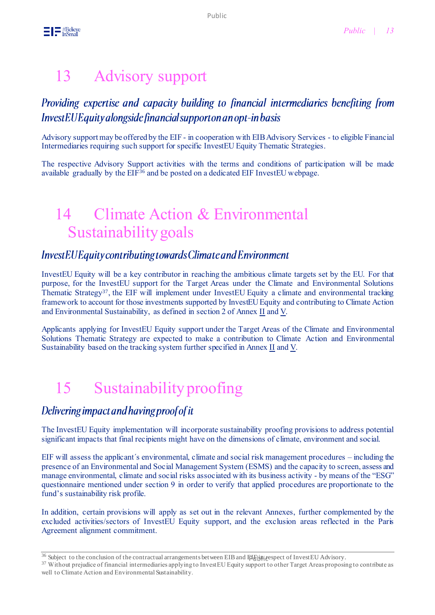# 13 Advisory support

### Providing expertise and capacity building to financial intermediaries benefiting from InvestEUE quity alongside financial support on an opt-in basis

Advisory support may be offered by the EIF - in cooperation with EIB Advisory Services - to eligible Financial Intermediaries requiring such support for specific InvestEU Equity Thematic Strategies.

The respective Advisory Support activities with the terms and conditions of participation will be made available gradually by the EIF<sup>36</sup> and be posted on a dedicated EIF InvestEU webpage.

# 14 Climate Action & Environmental Sustainability goals

### InvestEUEquity contributing towards Climate and Environment

InvestEU Equity will be a key contributor in reaching the ambitious climate targets set by the EU. For that purpose, for the InvestEU support for the Target Areas under the Climate and Environmental Solutions Thematic Strategy<sup>37</sup>, the EIF will implement under InvestEU Equity a climate and environmental tracking framework to account for those investments supported by InvestEU Equity and contributing to Climate Action and Environmental Sustainability, as defined in section 2 of Anne[x II](https://www.eif.org/InvestEU/equity_products_calls/annex-ii-growth-innovation-socialimpact-termsheet.pdf) an[d V.](https://www.eif.org/InvestEU/equity_products_calls/annex-v-senior-private-credit-termsheet.pdf)

Applicants applying for InvestEU Equity support under the Target Areas of the Climate and Environmental Solutions Thematic Strategy are expected to make a contribution to Climate Action and Environmental Sustainability based on the tracking system further specified in Anne[x II](https://www.eif.org/InvestEU/equity_products_calls/annex-ii-growth-innovation-socialimpact-termsheet.pdf) and [V.](https://www.eif.org/InvestEU/equity_products_calls/annex-v-senior-private-credit-termsheet.pdf)

# 15 Sustainability proofing

### Delivering impact and having proof of it

The InvestEU Equity implementation will incorporate sustainability proofing provisions to address potential significant impacts that final recipients might have on the dimensions of climate, environment and social.

EIF will assess the applicant´s environmental, climate and social risk management procedures – including the presence of an Environmental and Social Management System (ESMS) and the capacity to screen, assess and manage environmental, climate and social risks associated with its business activity - by means of the "ESG" questionnaire mentioned under section 9 in order to verify that applied procedures are proportionate to the fund's sustainability risk profile.

In addition, certain provisions will apply as set out in the relevant Annexes, further complemented by the excluded activities/sectors of InvestEU Equity support, and the exclusion areas reflected in the Paris Agreement alignment commitment.

<sup>&</sup>lt;sup>36</sup> Subject to the conclusion of the contractual arrangements between EIB and Ellenignespect of InvestEU Advisory.

<sup>&</sup>lt;sup>37</sup> Without prejudice of financial intermediaries applying to InvestEU Equity support to other Target Areas proposing to contribute as well to Climate Action and Environmental Sustainability.